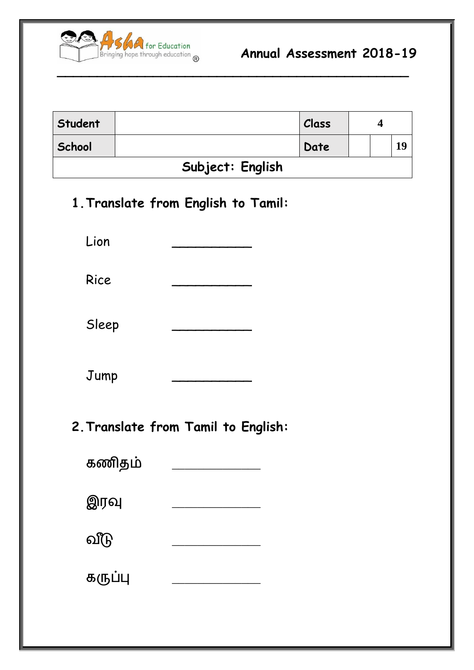

| Student          |  | Class |  |  |    |
|------------------|--|-------|--|--|----|
| School           |  | Date  |  |  | 19 |
| Subject: English |  |       |  |  |    |

**\_\_\_\_\_\_\_\_\_\_\_\_\_\_\_\_\_\_\_\_\_\_\_\_\_\_\_\_\_\_\_\_\_\_\_\_\_\_\_\_\_\_\_\_**

## **1.Translate from English to Tamil:**

Lion \_\_\_\_\_\_\_\_\_\_ Rice \_\_\_\_\_\_\_\_\_\_

Sleep

Jump \_\_\_\_\_\_\_\_\_\_

**2.Translate from Tamil to English:**

| கணிதம்  |  |
|---------|--|
| இரவு    |  |
| வீடு    |  |
| கருப்பு |  |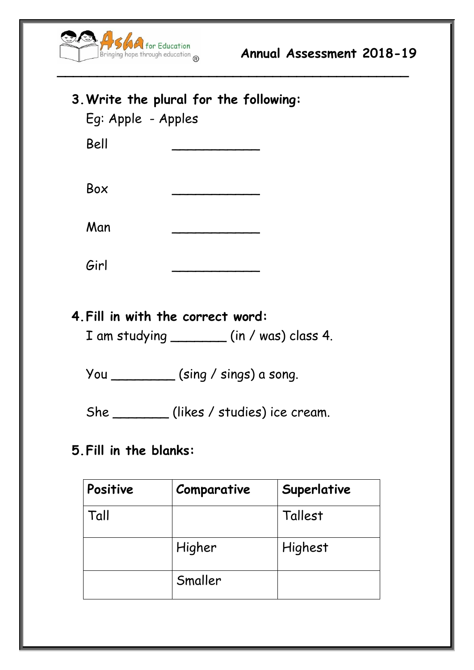

| 3. Write the plural for the following:<br>Eg: Apple - Apples |  |  |  |  |
|--------------------------------------------------------------|--|--|--|--|
| Bell                                                         |  |  |  |  |
| Box                                                          |  |  |  |  |
| Man                                                          |  |  |  |  |
| Girl                                                         |  |  |  |  |
| 4. Fill in with the correct word:                            |  |  |  |  |

**\_\_\_\_\_\_\_\_\_\_\_\_\_\_\_\_\_\_\_\_\_\_\_\_\_\_\_\_\_\_\_\_\_\_\_\_\_\_\_\_\_\_\_\_**

I am studying \_\_\_\_\_\_\_ (in / was) class 4.

You \_\_\_\_\_\_\_\_ (sing / sings) a song.

She \_\_\_\_\_\_\_ (likes / studies) ice cream.

**5.Fill in the blanks:**

| Positive | Comparative | Superlative |
|----------|-------------|-------------|
| Tall     |             | Tallest     |
|          | Higher      | Highest     |
|          | Smaller     |             |